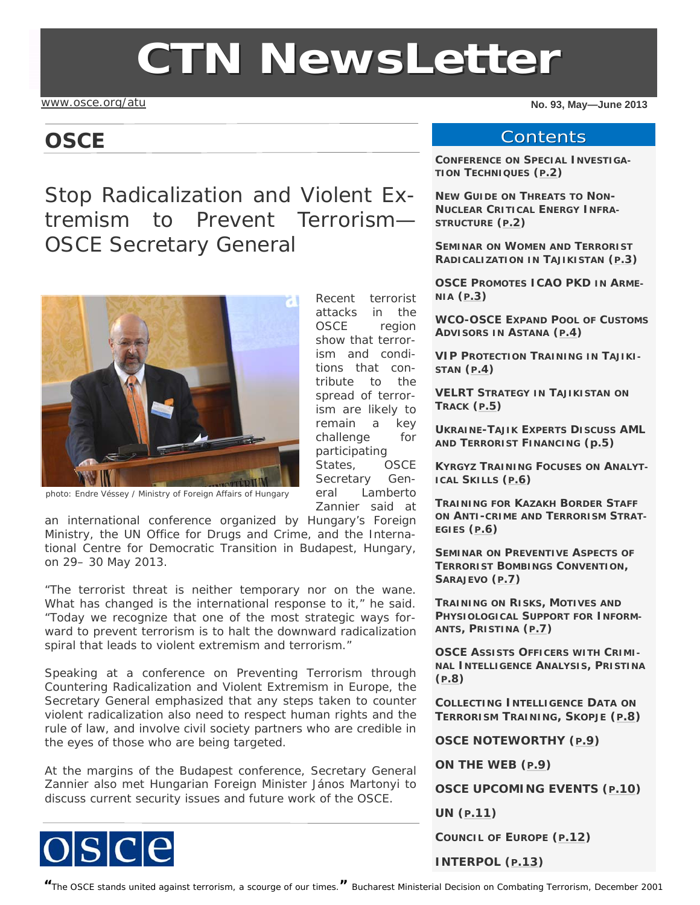# **CTN NewsLette NewsLetter**

[www.osce.org/atu](http://www.osce.org/atu)

### **OSCE**

Stop Radicalization and Violent Extremism to Prevent Terrorism— OSCE Secretary General



photo: Endre Véssey / Ministry of Foreign Affairs of Hungary

an international conference organized by Hungary's Foreign Ministry, the UN Office for Drugs and Crime, and the International Centre for Democratic Transition in Budapest, Hungary, on 29– 30 May 2013.

"The terrorist threat is neither temporary nor on the wane. What has changed is the international response to it," he said. "Today we recognize that one of the most strategic ways forward to prevent terrorism is to halt the downward radicalization spiral that leads to violent extremism and terrorism."

Speaking at a conference on *Preventing Terrorism through Countering Radicalization and Violent Extremism in Europe*, the Secretary General emphasized that any steps taken to counter violent radicalization also need to respect human rights and the rule of law, and involve civil society partners who are credible in the eyes of those who are being targeted.

At the margins of the Budapest conference, Secretary General Zannier also met Hungarian Foreign Minister János Martonyi to discuss current security issues and future work of the OSCE.



Recent terrorist attacks in the OSCE region show that terrorism and conditions that contribute to the spread of terrorism are likely to remain a key challenge for participating States, OSCE Secretary General Lamberto Zannier said at

**No. 93, May—June 2013** 

#### **Contents**

**CONFERENCE ON SPECIAL INVESTIGA-TION TECHNIQUES ([P.2](#page-1-0))** 

**NEW GUIDE ON THREATS TO NON-NUCLEAR CRITICAL ENERGY INFRA-STRUCTURE ([P.2](#page-1-0))** 

**SEMINAR ON WOMEN AND TERRORIST RADICALIZATION IN TAJIKISTAN ([P.3](#page-2-0))** 

**OSCE PROMOTES ICAO PKD IN ARME-NIA [\(P.3](#page-2-0))** 

**WCO-OSCE EXPAND POOL OF CUSTOMS ADVISORS IN ASTANA [\(P.4](#page-3-0))** 

**VIP PROTECTION TRAINING IN TAJIKI-STAN ([P.4](#page-3-0))**

**VELRT STRATEGY IN TAJIKISTAN ON TRACK ([P.5](#page-4-0))** 

**UKRAINE-TAJIK EXPERTS DISCUSS AML AND TERRORIST FINANCING [\(p.5](#page-4-0))** 

**KYRGYZ TRAINING FOCUSES ON ANALYT-ICAL SKILLS ([P.6](#page-5-0))** 

**TRAINING FOR KAZAKH BORDER STAFF ON ANTI-CRIME AND TERRORISM STRAT-EGIES [\(P.6](#page-5-0))** 

**SEMINAR ON PREVENTIVE ASPECTS OF TERRORIST BOMBINGS CONVENTION, SARAJEVO ([P.7](#page-6-0))** 

**TRAINING ON RISKS, MOTIVES AND PHYSIOLOGICAL SUPPORT FOR INFORM-ANTS, PRISTINA ([P.7](#page-6-0))** 

**OSCE ASSISTS OFFICERS WITH CRIMI-NAL INTELLIGENCE ANALYSIS, PRISTINA [\(P.8](#page-7-0))** 

**COLLECTING INTELLIGENCE DATA ON TERRORISM TRAINING, SKOPJE ([P.8](#page-7-0))** 

**OSCE NOTEWORTHY ([P.9](#page-8-0))** 

**ON THE WEB ([P.9](#page-8-0))** 

**OSCE UPCOMING EVENTS ([P.10](#page-9-0))** 

**UN ([P.11\)](#page-10-0)** 

**COUNCIL OF EUROPE ([P.12](#page-11-0))** 

**INTERPOL ([P.13](#page-12-0))** 

**"**The OSCE stands united against terrorism, a scourge of our times.**"** *Bucharest Ministerial Decision on Combating Terrorism, December 2001*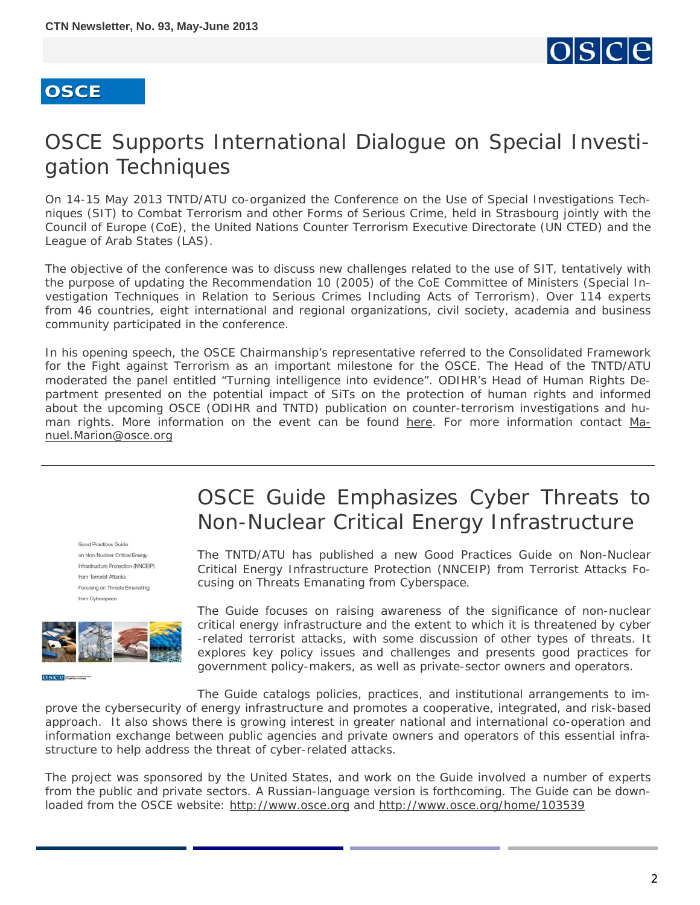# loisicle

#### <span id="page-1-0"></span>**OSCE**

# OSCE Supports International Dialogue on Special Investigation Techniques

On 14-15 May 2013 TNTD/ATU co-organized the *Conference on the Use of Special Investigations Techniques (SIT) to Combat Terrorism and other Forms of Serious Crime*, held in Strasbourg jointly with the Council of Europe (CoE), the United Nations Counter Terrorism Executive Directorate (UN CTED) and the League of Arab States (LAS).

The objective of the conference was to discuss new challenges related to the use of SIT, tentatively with the purpose of updating the Recommendation 10 (2005) of the CoE Committee of Ministers (Special Investigation Techniques in Relation to Serious Crimes Including Acts of Terrorism). Over 114 experts from 46 countries, eight international and regional organizations, civil society, academia and business community participated in the conference.

In his opening speech, the OSCE Chairmanship's representative referred to the *Consolidated Framework for the Fight against Terrorism* as an important milestone for the OSCE. The Head of the TNTD/ATU moderated the panel entitled "*Turning intelligence into evidence*". ODIHR's Head of Human Rights Department presented on the potential impact of SiTs on the protection of human rights and informed about the upcoming OSCE (ODIHR and TNTD) publication on counter-terrorism investigations and human rights. More information on the event can be found [here.](http://www.coe.int/t/dlapil/codexter/sitconference_en.asp) For more information contact [Ma](mailto:Manuel.Marion@osce.org)[nuel.Marion@osce.org](mailto:Manuel.Marion@osce.org)

Good Practices Guide on Non-Nuclear Critical Energy Infrastructure Protection (NNCEIP) from Terrorist Attacks Focusing on Threats Emanating from Cyberspace



 $0<sub>5</sub>$  ceremon-

# OSCE Guide Emphasizes Cyber Threats to Non-Nuclear Critical Energy Infrastructure

The TNTD/ATU has published a new *Good Practices Guide on Non-Nuclear Critical Energy Infrastructure Protection (NNCEIP) from Terrorist Attacks Focusing on Threats Emanating from Cyberspace*.

The Guide focuses on raising awareness of the significance of non-nuclear critical energy infrastructure and the extent to which it is threatened by cyber -related terrorist attacks, with some discussion of other types of threats. It explores key policy issues and challenges and presents good practices for government policy-makers, as well as private-sector owners and operators.

The Guide catalogs policies, practices, and institutional arrangements to improve the cybersecurity of energy infrastructure and promotes a cooperative, integrated, and risk-based approach. It also shows there is growing interest in greater national and international co-operation and information exchange between public agencies and private owners and operators of this essential infrastructure to help address the threat of cyber-related attacks.

The project was sponsored by the United States, and work on the Guide involved a number of experts from the public and private sectors. A Russian-language version is forthcoming. The Guide can be downloaded from the OSCE website: <http://www.osce.org>and <http://www.osce.org/home/103539>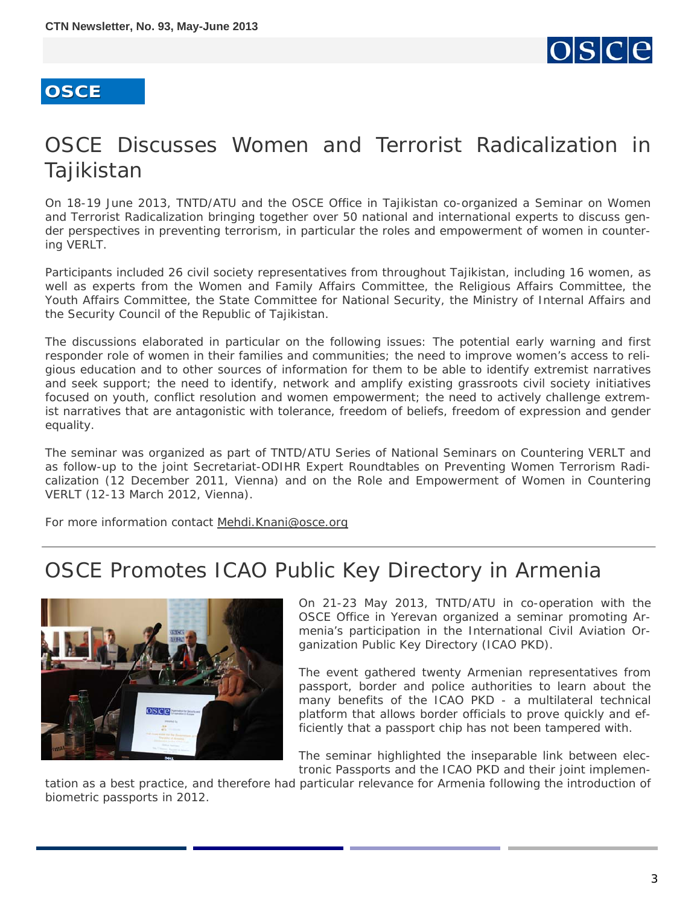

# <span id="page-2-0"></span>OSCE Discusses Women and Terrorist Radicalization in Tajikistan

On 18-19 June 2013, TNTD/ATU and the OSCE Office in Tajikistan co-organized a *Seminar on Women and Terrorist Radicalization* bringing together over 50 national and international experts to discuss gender perspectives in preventing terrorism, in particular the roles and empowerment of women in countering VERLT.

Participants included 26 civil society representatives from throughout Tajikistan, including 16 women, as well as experts from the Women and Family Affairs Committee, the Religious Affairs Committee, the Youth Affairs Committee, the State Committee for National Security, the Ministry of Internal Affairs and the Security Council of the Republic of Tajikistan.

The discussions elaborated in particular on the following issues: The potential early warning and first responder role of women in their families and communities; the need to improve women's access to religious education and to other sources of information for them to be able to identify extremist narratives and seek support; the need to identify, network and amplify existing grassroots civil society initiatives focused on youth, conflict resolution and women empowerment; the need to actively challenge extremist narratives that are antagonistic with tolerance, freedom of beliefs, freedom of expression and gender equality.

The seminar was organized as part of TNTD/ATU Series of National Seminars on Countering VERLT and as follow-up to the joint Secretariat-ODIHR Expert Roundtables on Preventing Women Terrorism Radicalization (12 December 2011, Vienna) and on the Role and Empowerment of Women in Countering VERLT (12-13 March 2012, Vienna).

For more information contact [Mehdi.Knani@osce.org](mailto:Mehdi.Knani@osce.org) 

# OSCE Promotes ICAO Public Key Directory in Armenia



On 21-23 May 2013, TNTD/ATU in co-operation with the OSCE Office in Yerevan organized a seminar promoting Armenia's participation in the International Civil Aviation Organization Public Key Directory (ICAO PKD).

The event gathered twenty Armenian representatives from passport, border and police authorities to learn about the many benefits of the ICAO PKD - a multilateral technical platform that allows border officials to prove quickly and efficiently that a passport chip has not been tampered with.

The seminar highlighted the inseparable link between electronic Passports and the ICAO PKD and their joint implemen-

tation as a best practice, and therefore had particular relevance for Armenia following the introduction of biometric passports in 2012.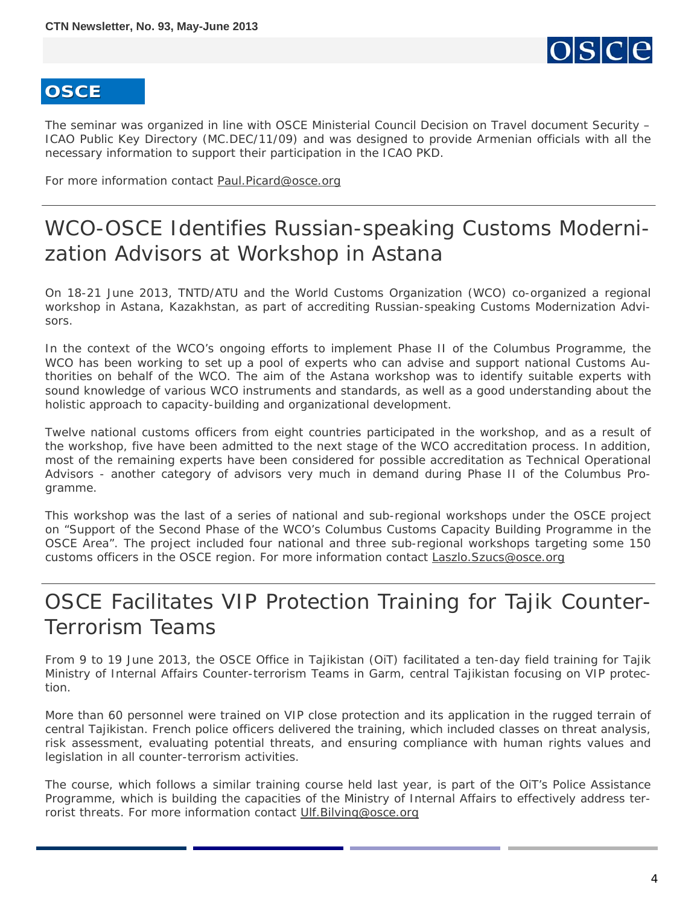

<span id="page-3-0"></span>The seminar was organized in line with OSCE Ministerial Council Decision on Travel document Security – ICAO Public Key Directory (MC.DEC/11/09) and was designed to provide Armenian officials with all the necessary information to support their participation in the ICAO PKD.

For more information contact [Paul.Picard@osce.org](mailto:Paul.Picard@osce.org)

# WCO-OSCE Identifies Russian-speaking Customs Modernization Advisors at Workshop in Astana

On 18-21 June 2013, TNTD/ATU and the World Customs Organization (WCO) co-organized a regional workshop in Astana, Kazakhstan, as part of accrediting Russian-speaking Customs Modernization Advisors.

In the context of the WCO's ongoing efforts to implement Phase II of the Columbus Programme, the WCO has been working to set up a pool of experts who can advise and support national Customs Authorities on behalf of the WCO. The aim of the Astana workshop was to identify suitable experts with sound knowledge of various WCO instruments and standards, as well as a good understanding about the holistic approach to capacity-building and organizational development.

Twelve national customs officers from eight countries participated in the workshop, and as a result of the workshop, five have been admitted to the next stage of the WCO accreditation process. In addition, most of the remaining experts have been considered for possible accreditation as Technical Operational Advisors - another category of advisors very much in demand during Phase II of the Columbus Programme.

This workshop was the last of a series of national and sub-regional workshops under the OSCE project on "Support of the Second Phase of the WCO's Columbus Customs Capacity Building Programme in the OSCE Area". The project included four national and three sub-regional workshops targeting some 150 customs officers in the OSCE region. For more information contact **[Laszlo.Szucs@osce.org](mailto:Laszlo.Szucs@osce.org)** 

# OSCE Facilitates VIP Protection Training for Tajik Counter-Terrorism Teams

From 9 to 19 June 2013, the OSCE Office in Tajikistan (OiT) facilitated a ten-day field training for Tajik Ministry of Internal Affairs Counter-terrorism Teams in Garm, central Tajikistan focusing on VIP protection.

More than 60 personnel were trained on VIP close protection and its application in the rugged terrain of central Tajikistan. French police officers delivered the training, which included classes on threat analysis, risk assessment, evaluating potential threats, and ensuring compliance with human rights values and legislation in all counter-terrorism activities.

The course, which follows a similar training course held last year, is part of the OiT's Police Assistance Programme, which is building the capacities of the Ministry of Internal Affairs to effectively address terrorist threats. For more information contact [Ulf.Bilving@osce.org](mailto:Ulf.Bilving@osce.org)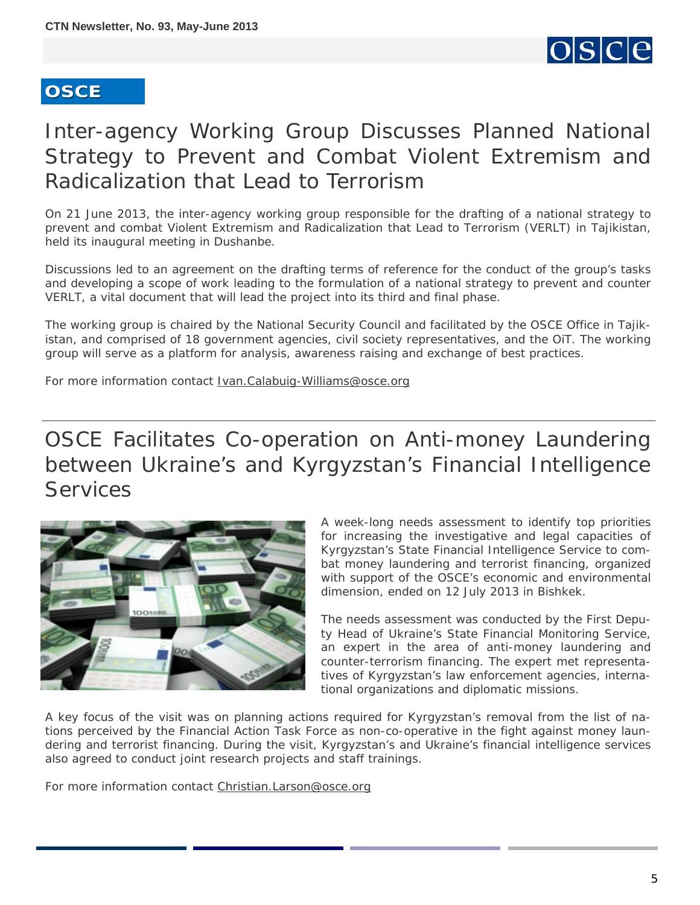

# <span id="page-4-0"></span>Inter-agency Working Group Discusses Planned National Strategy to Prevent and Combat Violent Extremism and Radicalization that Lead to Terrorism

On 21 June 2013, the inter-agency working group responsible for the drafting of a national strategy to prevent and combat Violent Extremism and Radicalization that Lead to Terrorism (VERLT) in Tajikistan, held its inaugural meeting in Dushanbe.

Discussions led to an agreement on the drafting terms of reference for the conduct of the group's tasks and developing a scope of work leading to the formulation of a national strategy to prevent and counter VERLT, a vital document that will lead the project into its third and final phase.

The working group is chaired by the National Security Council and facilitated by the OSCE Office in Tajikistan, and comprised of 18 government agencies, civil society representatives, and the OiT. The working group will serve as a platform for analysis, awareness raising and exchange of best practices.

For more information contact [Ivan.Calabuig-Williams@osce.org](mailto:Ivan.Calabuig-Williams@osce.org)

# OSCE Facilitates Co-operation on Anti-money Laundering between Ukraine's and Kyrgyzstan's Financial Intelligence **Services**



A week-long needs assessment to identify top priorities for increasing the investigative and legal capacities of Kyrgyzstan's State Financial Intelligence Service to combat money laundering and terrorist financing, organized with support of the OSCE's economic and environmental dimension, ended on 12 July 2013 in Bishkek.

The needs assessment was conducted by the First Deputy Head of Ukraine's State Financial Monitoring Service, an expert in the area of anti-money laundering and counter-terrorism financing. The expert met representatives of Kyrgyzstan's law enforcement agencies, international organizations and diplomatic missions.

A key focus of the visit was on planning actions required for Kyrgyzstan's removal from the list of nations perceived by the Financial Action Task Force as non-co-operative in the fight against money laundering and terrorist financing. During the visit, Kyrgyzstan's and Ukraine's financial intelligence services also agreed to conduct joint research projects and staff trainings.

For more information contact [Christian.Larson@osce.org](mailto:Christian.Larson@osce.org)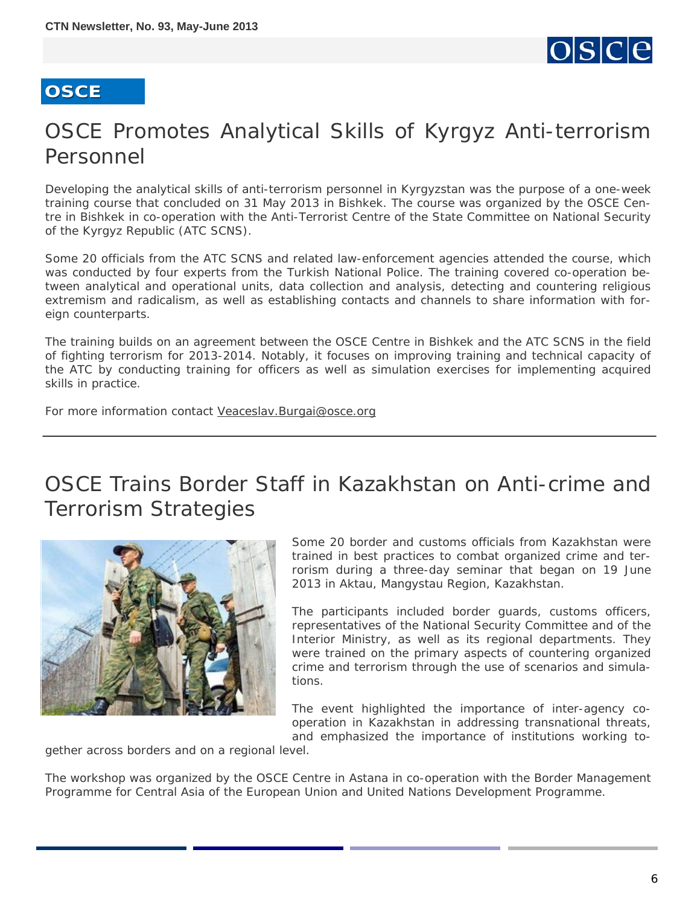

# <span id="page-5-0"></span>OSCE Promotes Analytical Skills of Kyrgyz Anti-terrorism Personnel

Developing the analytical skills of anti-terrorism personnel in Kyrgyzstan was the purpose of a one-week training course that concluded on 31 May 2013 in Bishkek. The course was organized by the OSCE Centre in Bishkek in co-operation with the Anti-Terrorist Centre of the State Committee on National Security of the Kyrgyz Republic (ATC SCNS).

Some 20 officials from the ATC SCNS and related law-enforcement agencies attended the course, which was conducted by four experts from the Turkish National Police. The training covered co-operation between analytical and operational units, data collection and analysis, detecting and countering religious extremism and radicalism, as well as establishing contacts and channels to share information with foreign counterparts.

The training builds on an agreement between the OSCE Centre in Bishkek and the ATC SCNS in the field of fighting terrorism for 2013-2014. Notably, it focuses on improving training and technical capacity of the ATC by conducting training for officers as well as simulation exercises for implementing acquired skills in practice.

For more information contact [Veaceslav.Burgai@osce.org](mailto:Veaceslav.Burgai@osce.org)

# OSCE Trains Border Staff in Kazakhstan on Anti-crime and Terrorism Strategies



Some 20 border and customs officials from Kazakhstan were trained in best practices to combat organized crime and terrorism during a three-day seminar that began on 19 June 2013 in Aktau, Mangystau Region, Kazakhstan.

The participants included border guards, customs officers, representatives of the National Security Committee and of the Interior Ministry, as well as its regional departments. They were trained on the primary aspects of countering organized crime and terrorism through the use of scenarios and simulations.

The event highlighted the importance of inter-agency cooperation in Kazakhstan in addressing transnational threats, and emphasized the importance of institutions working to-

gether across borders and on a regional level.

The workshop was organized by the OSCE Centre in Astana in co-operation with the Border Management Programme for Central Asia of the European Union and United Nations Development Programme.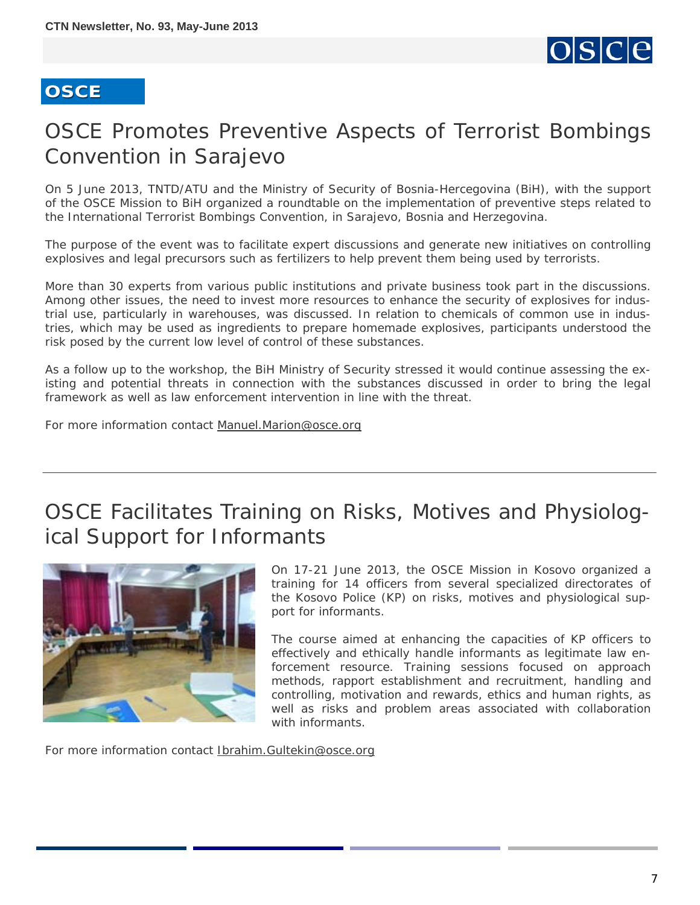

# <span id="page-6-0"></span>OSCE Promotes Preventive Aspects of Terrorist Bombings Convention in Sarajevo

On 5 June 2013, TNTD/ATU and the Ministry of Security of Bosnia-Hercegovina (BiH), with the support of the OSCE Mission to BiH organized a roundtable on the implementation of preventive steps related to the International Terrorist Bombings Convention, in Sarajevo, Bosnia and Herzegovina.

The purpose of the event was to facilitate expert discussions and generate new initiatives on controlling explosives and legal precursors such as fertilizers to help prevent them being used by terrorists.

More than 30 experts from various public institutions and private business took part in the discussions. Among other issues, the need to invest more resources to enhance the security of explosives for industrial use, particularly in warehouses, was discussed. In relation to chemicals of common use in industries, which may be used as ingredients to prepare homemade explosives, participants understood the risk posed by the current low level of control of these substances.

As a follow up to the workshop, the BiH Ministry of Security stressed it would continue assessing the existing and potential threats in connection with the substances discussed in order to bring the legal framework as well as law enforcement intervention in line with the threat.

For more information contact [Manuel.Marion@osce.org](mailto:Manuel.Marion@osce.org)

# OSCE Facilitates Training on Risks, Motives and Physiological Support for Informants



On 17-21 June 2013, the OSCE Mission in Kosovo organized a training for 14 officers from several specialized directorates of the Kosovo Police (KP) on risks, motives and physiological support for informants.

The course aimed at enhancing the capacities of KP officers to effectively and ethically handle informants as legitimate law enforcement resource. Training sessions focused on approach methods, rapport establishment and recruitment, handling and controlling, motivation and rewards, ethics and human rights, as well as risks and problem areas associated with collaboration with informants.

For more information contact [Ibrahim.Gultekin@osce.org](mailto:Ibrahim.Gultekin@osce.org)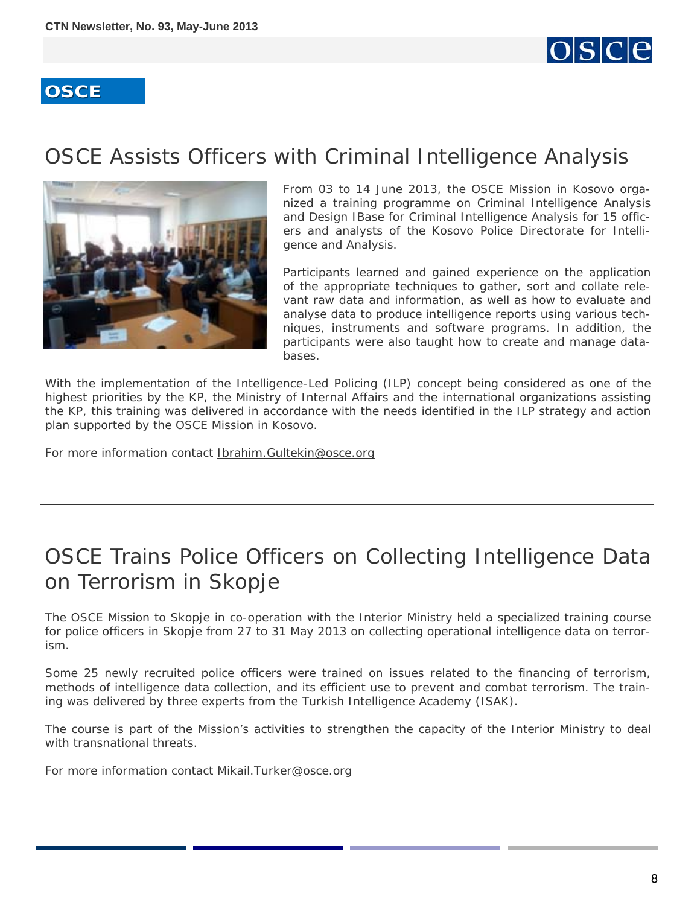

# <span id="page-7-0"></span>OSCE Assists Officers with Criminal Intelligence Analysis



From 03 to 14 June 2013, the OSCE Mission in Kosovo organized a training programme on Criminal Intelligence Analysis and Design IBase for Criminal Intelligence Analysis for 15 officers and analysts of the Kosovo Police Directorate for Intelligence and Analysis.

Participants learned and gained experience on the application of the appropriate techniques to gather, sort and collate relevant raw data and information, as well as how to evaluate and analyse data to produce intelligence reports using various techniques, instruments and software programs. In addition, the participants were also taught how to create and manage databases.

With the implementation of the Intelligence-Led Policing (ILP) concept being considered as one of the highest priorities by the KP, the Ministry of Internal Affairs and the international organizations assisting the KP, this training was delivered in accordance with the needs identified in the ILP strategy and action plan supported by the OSCE Mission in Kosovo.

For more information contact **Ibrahim.Gultekin@osce.org** 

# OSCE Trains Police Officers on Collecting Intelligence Data on Terrorism in Skopje

The OSCE Mission to Skopje in co-operation with the Interior Ministry held a specialized training course for police officers in Skopje from 27 to 31 May 2013 on collecting operational intelligence data on terrorism.

Some 25 newly recruited police officers were trained on issues related to the financing of terrorism, methods of intelligence data collection, and its efficient use to prevent and combat terrorism. The training was delivered by three experts from the Turkish Intelligence Academy (ISAK).

The course is part of the Mission's activities to strengthen the capacity of the Interior Ministry to deal with transnational threats.

For more information contact [Mikail.Turker@osce.org](mailto:Mikail.Turker@osce.org)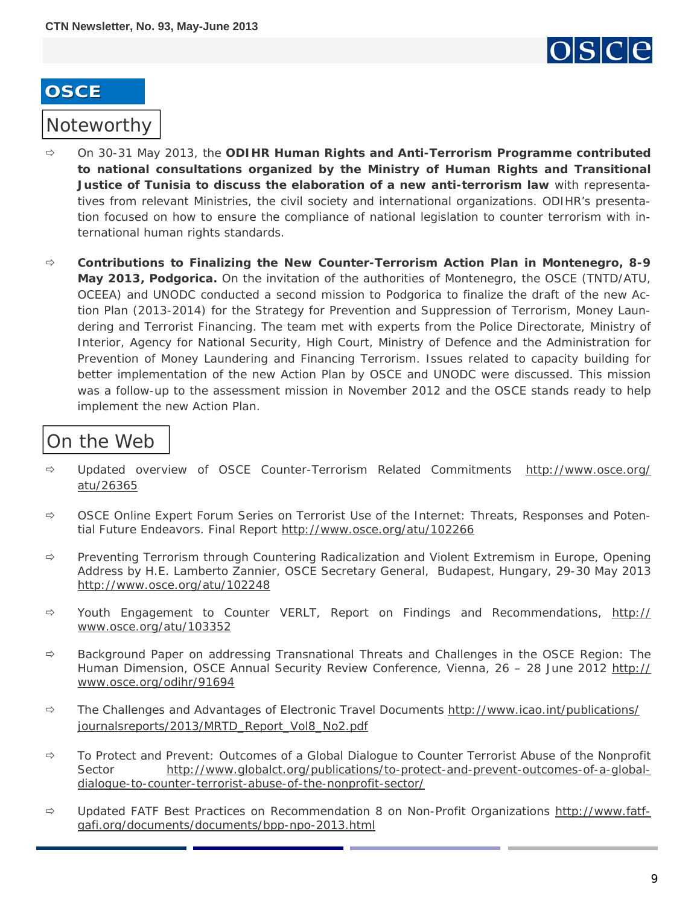

### <span id="page-8-0"></span>Noteworthy

- On 30-31 May 2013, the **ODIHR Human Rights and Anti-Terrorism Programme contributed to national consultations organized by the Ministry of Human Rights and Transitional Justice of Tunisia to discuss the elaboration of a new anti-terrorism law** with representatives from relevant Ministries, the civil society and international organizations. ODIHR's presentation focused on how to ensure the compliance of national legislation to counter terrorism with international human rights standards.
- **Contributions to Finalizing the New Counter-Terrorism Action Plan in Montenegro, 8-9 May 2013, Podgorica.** On the invitation of the authorities of Montenegro, the OSCE (TNTD/ATU, OCEEA) and UNODC conducted a second mission to Podgorica to finalize the draft of the new Action Plan (2013-2014) for the Strategy for Prevention and Suppression of Terrorism, Money Laundering and Terrorist Financing. The team met with experts from the Police Directorate, Ministry of Interior, Agency for National Security, High Court, Ministry of Defence and the Administration for Prevention of Money Laundering and Financing Terrorism. Issues related to capacity building for better implementation of the new Action Plan by OSCE and UNODC were discussed. This mission was a follow-up to the assessment mission in November 2012 and the OSCE stands ready to help implement the new Action Plan.

### On the Web

- Updated overview of OSCE Counter-Terrorism Related Commitments [http://www.osce.org/](http://www.osce.org/atu/26365) [atu/26365](http://www.osce.org/atu/26365)
- $\Rightarrow$  OSCE Online Expert Forum Series on Terrorist Use of the Internet: Threats, Responses and Potential Future Endeavors. Final Report <http://www.osce.org/atu/102266>
- $\Rightarrow$  Preventing Terrorism through Countering Radicalization and Violent Extremism in Europe, Opening Address by H.E. Lamberto Zannier, OSCE Secretary General, Budapest, Hungary, 29-30 May 2013 <http://www.osce.org/atu/102248>
- $\Rightarrow$  Youth Engagement to Counter VERLT, Report on Findings and Recommendations, [http://](http://www.osce.org/atu/103352) [www.osce.org/atu/103352](http://www.osce.org/atu/103352)
- $\Rightarrow$  Background Paper on addressing Transnational Threats and Challenges in the OSCE Region: The Human Dimension, OSCE Annual Security Review Conference, Vienna, 26 - 28 June 2012 [http://](http://www.osce.org/odihr/91694) [www.osce.org/odihr/91694](http://www.osce.org/odihr/91694)
- $\Rightarrow$  The Challenges and Advantages of Electronic Travel Documents [http://www.icao.int/publications/](http://www.icao.int/publications/journalsreports/2013/MRTD_Report_Vol8_No2.pdf) [journalsreports/2013/MRTD\\_Report\\_Vol8\\_No2.pdf](http://www.icao.int/publications/journalsreports/2013/MRTD_Report_Vol8_No2.pdf)
- $\Rightarrow$  To Protect and Prevent: Outcomes of a Global Dialogue to Counter Terrorist Abuse of the Nonprofit Sector [http://www.globalct.org/publications/to-protect-and-prevent-outcomes-of-a-global](http://www.globalct.org/publications/to-protect-and-prevent-outcomes-of-a-global-dialogue-to-counter-terrorist-abuse-of-the-nonprofit-sector/)[dialogue-to-counter-terrorist-abuse-of-the-nonprofit-sector/](http://www.globalct.org/publications/to-protect-and-prevent-outcomes-of-a-global-dialogue-to-counter-terrorist-abuse-of-the-nonprofit-sector/)
- $\Rightarrow$  Updated FATF Best Practices on Recommendation 8 on Non-Profit Organizations [http://www.fatf](http://www.fatf-gafi.org/documents/documents/bpp-npo-2013.html)[gafi.org/documents/documents/bpp-npo-2013.html](http://www.fatf-gafi.org/documents/documents/bpp-npo-2013.html)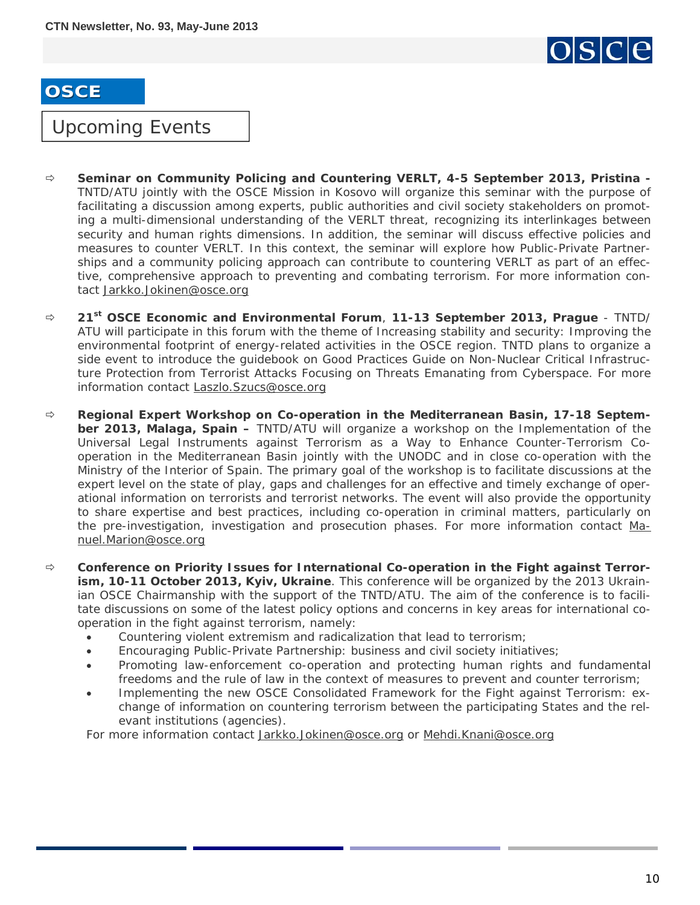

### <span id="page-9-0"></span>Upcoming Events

- **Seminar on Community Policing and Countering VERLT, 4-5 September 2013, Pristina**  TNTD/ATU jointly with the OSCE Mission in Kosovo will organize this seminar with the purpose of facilitating a discussion among experts, public authorities and civil society stakeholders on promoting a multi-dimensional understanding of the VERLT threat, recognizing its interlinkages between security and human rights dimensions. In addition, the seminar will discuss effective policies and measures to counter VERLT. In this context, the seminar will explore how Public-Private Partnerships and a community policing approach can contribute to countering VERLT as part of an effective, comprehensive approach to preventing and combating terrorism. For more information contact [Jarkko.Jokinen@osce.org](mailto:Jarkko.Jokinen@osce.org)
- **21st OSCE Economic and Environmental Forum**, **11-13 September 2013, Prague** TNTD/ ATU will participate in this forum with the theme of Increasing stability and security: Improving the environmental footprint of energy-related activities in the OSCE region. TNTD plans to organize a side event to introduce the guidebook on Good Practices Guide on Non-Nuclear Critical Infrastructure Protection from Terrorist Attacks Focusing on Threats Emanating from Cyberspace. For more information contact [Laszlo.Szucs@osce.org](mailto:Laszlo.Szucs@osce.org)
- **Regional Expert Workshop on Co-operation in the Mediterranean Basin, 17-18 September 2013, Malaga, Spain –** TNTD/ATU will organize a workshop on *the Implementation of the Universal Legal Instruments against Terrorism as a Way to Enhance Counter-Terrorism Cooperation in the Mediterranean Basin* jointly with the UNODC and in close co-operation with the Ministry of the Interior of Spain. The primary goal of the workshop is to facilitate discussions at the expert level on the state of play, gaps and challenges for an effective and timely exchange of operational information on terrorists and terrorist networks. The event will also provide the opportunity to share expertise and best practices, including co-operation in criminal matters, particularly on the pre-investigation, investigation and prosecution phases. For more information contact [Ma](mailto:Manuel.Marion@osce.org)[nuel.Marion@osce.org](mailto:Manuel.Marion@osce.org)
- **Conference on Priority Issues for International Co-operation in the Fight against Terrorism, 10-11 October 2013, Kyiv, Ukraine**. This conference will be organized by the 2013 Ukrainian OSCE Chairmanship with the support of the TNTD/ATU. The aim of the conference is to facilitate discussions on some of the latest policy options and concerns in key areas for international cooperation in the fight against terrorism, namely:
	- Countering violent extremism and radicalization that lead to terrorism;
	- Encouraging Public-Private Partnership: business and civil society initiatives;
	- Promoting law-enforcement co-operation and protecting human rights and fundamental freedoms and the rule of law in the context of measures to prevent and counter terrorism;
	- Implementing the new OSCE Consolidated Framework for the Fight against Terrorism: exchange of information on countering terrorism between the participating States and the relevant institutions (agencies).

For more information contact [Jarkko.Jokinen@osce.org](mailto:Jarkko.Jokinen@osce.org) or [Mehdi.Knani@osce.org](mailto:Mehdi.Knani@osce.org)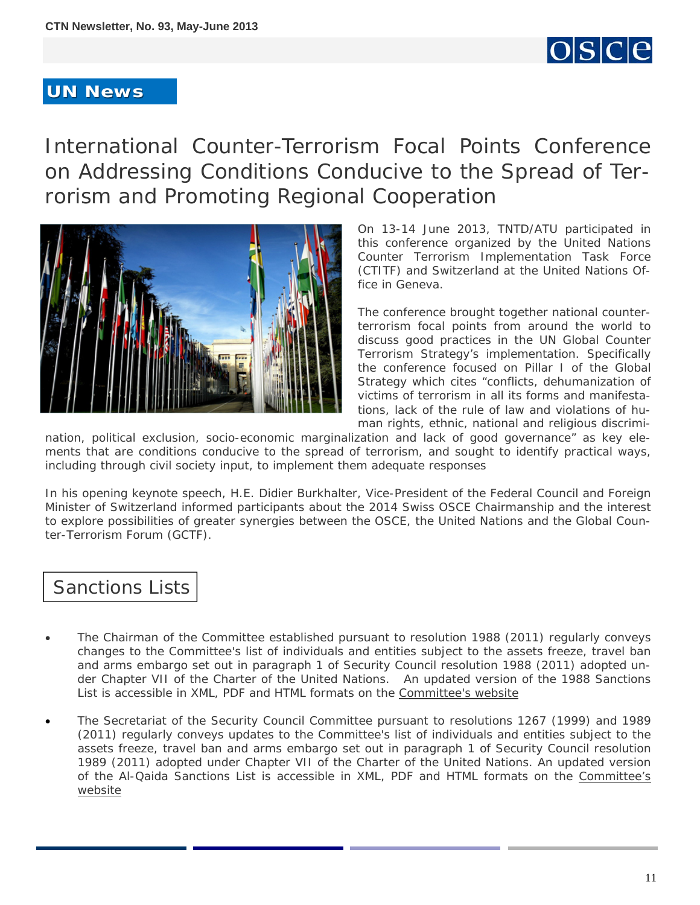

#### <span id="page-10-0"></span>**UN News UN News**

International Counter-Terrorism Focal Points Conference on Addressing Conditions Conducive to the Spread of Terrorism and Promoting Regional Cooperation



On 13-14 June 2013, TNTD/ATU participated in this conference organized by the United Nations Counter Terrorism Implementation Task Force (CTITF) and Switzerland at the United Nations Office in Geneva.

The conference brought together national counterterrorism focal points from around the world to discuss good practices in the UN Global Counter Terrorism Strategy's implementation. Specifically the conference focused on Pillar I of the Global Strategy which cites "conflicts, dehumanization of victims of terrorism in all its forms and manifestations, lack of the rule of law and violations of human rights, ethnic, national and religious discrimi-

nation, political exclusion, socio-economic marginalization and lack of good governance" as key elements that are conditions conducive to the spread of terrorism, and sought to identify practical ways, including through civil society input, to implement them adequate responses

In his opening keynote speech, H.E. Didier Burkhalter, Vice-President of the Federal Council and Foreign Minister of Switzerland informed participants about the 2014 Swiss OSCE Chairmanship and the interest to explore possibilities of greater synergies between the OSCE, the United Nations and the Global Counter-Terrorism Forum (GCTF).

### Sanctions Lists

- The Chairman of the Committee established pursuant to resolution 1988 (2011) regularly conveys changes to the Committee's list of individuals and entities subject to the assets freeze, travel ban and arms embargo set out in paragraph 1 of Security Council resolution 1988 (2011) adopted under Chapter VII of the Charter of the United Nations. An updated version of the 1988 Sanctions List is accessible in XML, PDF and HTML formats on the [Committee's website](http://www.un.org/sc/committees/1988/list.shtml)
- The Secretariat of the Security Council Committee pursuant to resolutions 1267 (1999) and 1989 (2011) regularly conveys updates to the Committee's list of individuals and entities subject to the assets freeze, travel ban and arms embargo set out in paragraph 1 of Security Council resolution 1989 (2011) adopted under Chapter VII of the Charter of the United Nations. An updated version of the Al-Qaida Sanctions List is accessible in XML, PDF and HTML formats on the [Committee's](http://www.un.org/sc/committees/1267/aq_sanctions_list.shtml.) [website](http://www.un.org/sc/committees/1267/aq_sanctions_list.shtml.)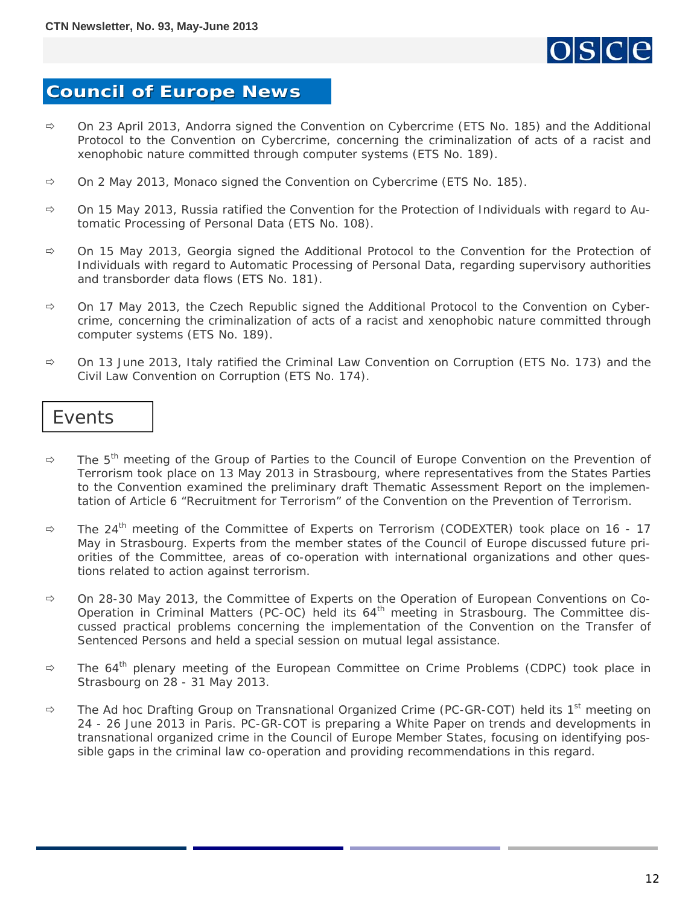

### <span id="page-11-0"></span>**Council of Europe News Council of Europe News**

- On 23 April 2013, Andorra signed *the Convention on Cybercrime* (ETS No. 185) and *the Additional Protocol to the Convention on Cybercrime, concerning the criminalization of acts of a racist and xenophobic nature committed through computer systems* (ETS No. 189).
- On 2 May 2013, Monaco signed *the Convention on Cybercrime* (ETS No. 185).
- On 15 May 2013, Russia ratified *the Convention for the Protection of Individuals with regard to Automatic Processing of Personal Data* (ETS No. 108).
- On 15 May 2013, Georgia signed *the Additional Protocol to the Convention for the Protection of Individuals with regard to Automatic Processing of Personal Data, regarding supervisory authorities and transborder data flows* (ETS No. 181).
- On 17 May 2013, the Czech Republic signed *the Additional Protocol to the Convention on Cybercrime, concerning the criminalization of acts of a racist and xenophobic nature committed through computer systems* (ETS No. 189).
- On 13 June 2013, Italy ratified *the Criminal Law Convention on Corruption* (ETS No. 173) and *the Civil Law Convention on Corruption* (ETS No. 174).

#### **Events**

- $\Rightarrow$  The 5<sup>th</sup> meeting of *the Group of Parties to the Council of Europe Convention on the Prevention of Terrorism* took place on 13 May 2013 in Strasbourg, where representatives from the States Parties to the Convention examined the preliminary draft Thematic Assessment Report on the implementation of Article 6 "Recruitment for Terrorism" of the Convention on the Prevention of Terrorism.
- $\Rightarrow$  The 24<sup>th</sup> meeting of *the Committee of Experts on Terrorism (CODEXTER)* took place on 16 17 May in Strasbourg. Experts from the member states of the Council of Europe discussed future priorities of the Committee, areas of co-operation with international organizations and other questions related to action against terrorism.
- On 28-30 May 2013, *the Committee of Experts on the Operation of European Conventions on Co-Operation in Criminal Matters (PC-OC)* held its 64<sup>th</sup> meeting in Strasbourg. The Committee discussed practical problems concerning the implementation of the Convention on the Transfer of Sentenced Persons and held a special session on mutual legal assistance.
- $\Rightarrow$  The 64<sup>th</sup> plenary meeting of *the European Committee on Crime Problems (CDPC)* took place in Strasbourg on 28 - 31 May 2013.
- $\Rightarrow$  The Ad hoc Drafting Group on Transnational Organized Crime (PC-GR-COT) held its 1<sup>st</sup> meeting on 24 - 26 June 2013 in Paris. PC-GR-COT is preparing a White Paper on trends and developments in transnational organized crime in the Council of Europe Member States, focusing on identifying possible gaps in the criminal law co-operation and providing recommendations in this regard.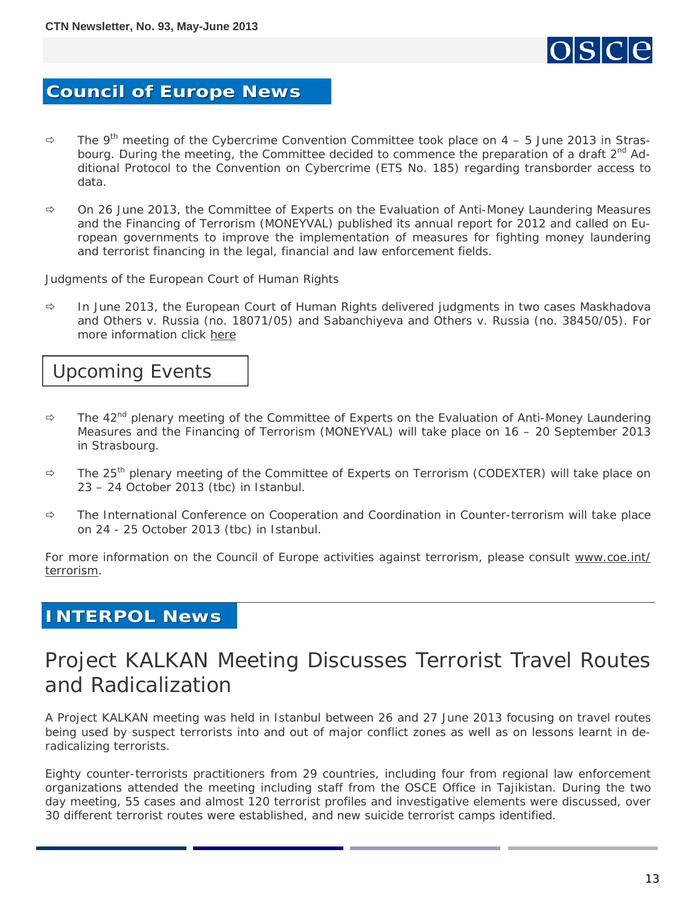

#### <span id="page-12-0"></span>**Council of Europe News Council of Europe News**

- The 9th meeting of *the Cybercrime Convention Committee* took place on 4 5 June 2013 in Strasbourg. During the meeting, the Committee decided to commence the preparation of a draft 2<sup>nd</sup> Additional Protocol to the Convention on Cybercrime (ETS No. 185) regarding transborder access to data.
- On 26 June 2013, *the Committee of Experts on the Evaluation of Anti-Money Laundering Measures and the Financing of Terrorism (MONEYVAL)* published its annual report for 2012 and called on European governments to improve the implementation of measures for fighting money laundering and terrorist financing in the legal, financial and law enforcement fields.

#### *Judgments of the European Court of Human Rights*

 In June 2013, the European Court of Human Rights delivered judgments in two cases *Maskhadova and Others v. Russia* (no. 18071/05) and *Sabanchiyeva and Others v. Russia* (no. 38450/05). For more information click [here](http://hudoc.echr.coe.int/sites/eng/Pages/search.aspx#{"sort":["kpdate Descending"],"languageisocode":["ENG"],"documentcollectionid2":["JUDGMENTS"]})

### Upcoming Events

- $\Rightarrow$  The 42<sup>nd</sup> plenary meeting of the Committee of Experts on the Evaluation of Anti-Money Laundering Measures and the Financing of Terrorism (MONEYVAL) will take place on 16 – 20 September 2013 in Strasbourg.
- $\Rightarrow$  The 25<sup>th</sup> plenary meeting of the Committee of Experts on Terrorism (CODEXTER) will take place on 23 – 24 October 2013 *(tbc)* in Istanbul.
- $\Rightarrow$  The International Conference on Cooperation and Coordination in Counter-terrorism will take place on 24 - 25 October 2013 *(tbc)* in Istanbul.

For more information on the Council of Europe activities against terrorism, please consult [www.coe.int/](http://www.coe.int/terrorism) [terrorism.](http://www.coe.int/terrorism)

#### **INTERPOL News INTERPOL News**

# Project KALKAN Meeting Discusses Terrorist Travel Routes and Radicalization

A Project KALKAN meeting was held in Istanbul between 26 and 27 June 2013 focusing on travel routes being used by suspect terrorists into and out of major conflict zones as well as on lessons learnt in deradicalizing terrorists.

Eighty counter-terrorists practitioners from 29 countries, including four from regional law enforcement organizations attended the meeting including staff from the OSCE Office in Tajikistan. During the two day meeting, 55 cases and almost 120 terrorist profiles and investigative elements were discussed, over 30 different terrorist routes were established, and new suicide terrorist camps identified.